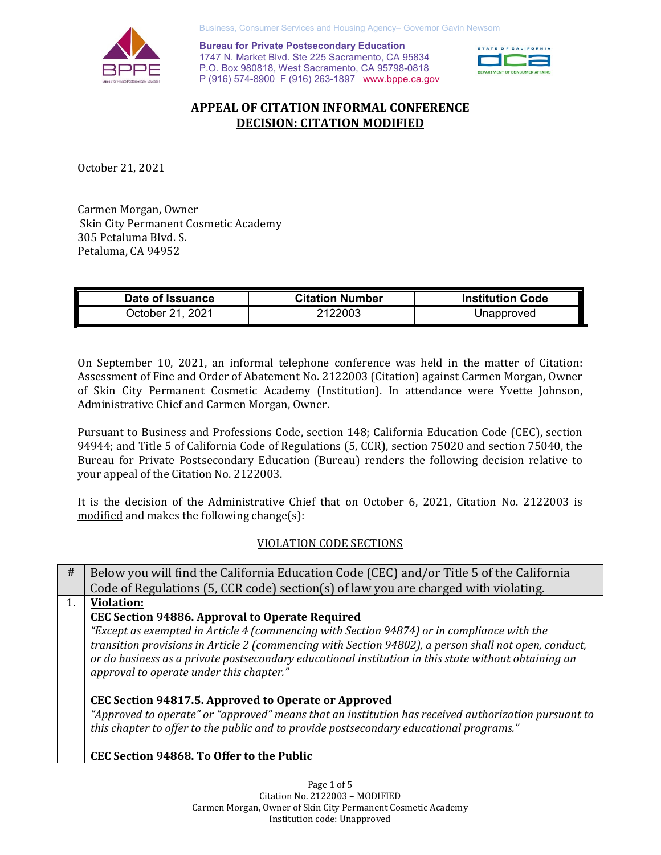

Business, Consumer Services and Housing Agency– Governor Gavin Newsom

 P (916) 574-8900 F (916) 263-1897 <www.bppe.ca.gov> **Bureau for Private Postsecondary Education**<br>1747 N. Market Blvd. Ste 225 Sacramento, CA 95834<br>P.O. Box 980818, West Sacramento, CA 95798-0818 **Bureau for Private Postsecondary Education**  1747 N. Market Blvd. Ste 225 Sacramento, CA 95834



# **APPEAL OF CITATION INFORMAL CONFERENCE DECISION: CITATION MODIFIED**

October 21, 2021

 Skin City Permanent Cosmetic Academy Carmen Morgan, Owner 305 Petaluma Blvd. S. Petaluma, CA 94952

| Date of Issuance | <b>Citation Number</b> | <b>Institution Code</b> |
|------------------|------------------------|-------------------------|
| October 21, 2021 | 2122003                | Unapproved              |

 On September 10, 2021, an informal telephone conference was held in the matter of Citation: Assessment of Fine and Order of Abatement No. 2122003 (Citation) against Carmen Morgan, Owner Administrative Chief and Carmen Morgan, Owner. of Skin City Permanent Cosmetic Academy (Institution). In attendance were Yvette Johnson,

 Bureau for Private Postsecondary Education (Bureau) renders the following decision relative to your appeal of the Citation No. 2122003. Pursuant to Business and Professions Code, section 148; California Education Code (CEC), section 94944; and Title 5 of California Code of Regulations (5, CCR), section 75020 and section 75040, the

 modified and makes the following change(s): It is the decision of the Administrative Chief that on October 6, 2021, Citation No. 2122003 is

## VIOLATION CODE SECTIONS

| #  | Below you will find the California Education Code (CEC) and/or Title 5 of the California              |
|----|-------------------------------------------------------------------------------------------------------|
|    | Code of Regulations (5, CCR code) section(s) of law you are charged with violating.                   |
| 1. | <b>Violation:</b>                                                                                     |
|    | <b>CEC Section 94886. Approval to Operate Required</b>                                                |
|    | "Except as exempted in Article 4 (commencing with Section 94874) or in compliance with the            |
|    | transition provisions in Article 2 (commencing with Section 94802), a person shall not open, conduct, |
|    | or do business as a private postsecondary educational institution in this state without obtaining an  |
|    | approval to operate under this chapter."                                                              |
|    | CEC Section 94817.5. Approved to Operate or Approved                                                  |
|    | "Approved to operate" or "approved" means that an institution has received authorization pursuant to  |
|    | this chapter to offer to the public and to provide postsecondary educational programs."               |
|    |                                                                                                       |
|    | CEC Section 94868. To Offer to the Public                                                             |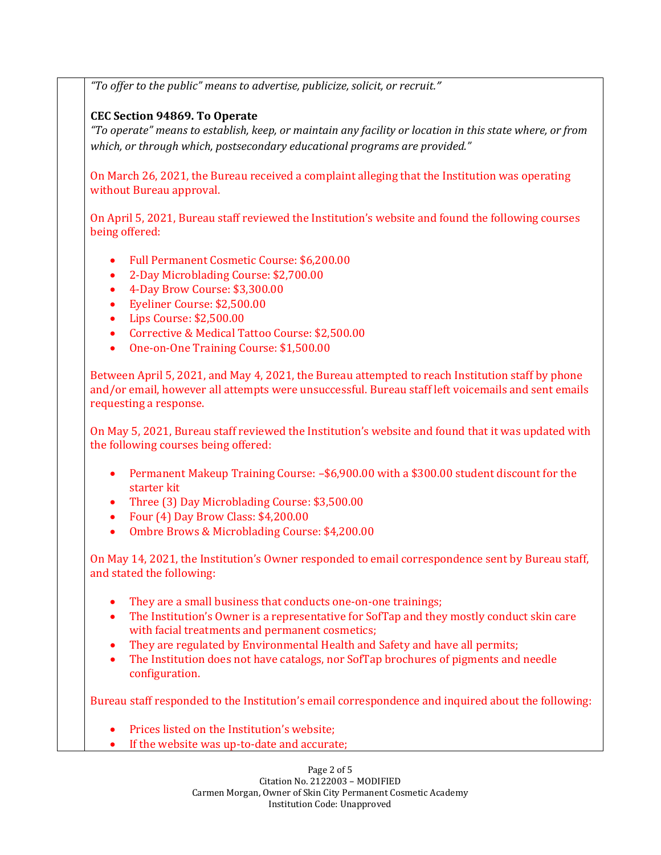*"To offer to the public" means to advertise, publicize, solicit, or recruit."* 

### **CEC Section 94869. To Operate**

 *"To operate" means to establish, keep, or maintain any facility or location in this state where, or from which, or through which, postsecondary educational programs are provided."* 

 On March 26, 2021, the Bureau received a complaint alleging that the Institution was operating without Bureau approval.

 On April 5, 2021, Bureau staff reviewed the Institution's website and found the following courses being offered:

- Full Permanent Cosmetic Course: \$6,200.00
- 2-Day Microblading Course: \$2,700.00
- 4-Day Brow Course: \$3,300.00
- Eyeliner Course: \$2,500.00
- Lips Course: \$2,500.00
- Corrective & Medical Tattoo Course: \$2,500.00
- One-on-One Training Course: \$1,500.00

 Between April 5, 2021, and May 4, 2021, the Bureau attempted to reach Institution staff by phone and/or email, however all attempts were unsuccessful. Bureau staff left voicemails and sent emails requesting a response.

 On May 5, 2021, Bureau staff reviewed the Institution's website and found that it was updated with the following courses being offered:

- • Permanent Makeup Training Course: –\$6,900.00 with a \$300.00 student discount for the starter kit
- Three (3) Day Microblading Course: \$3,500.00
- Four (4) Day Brow Class: \$4,200.00
- Ombre Brows & Microblading Course: \$4,200.00

 On May 14, 2021, the Institution's Owner responded to email correspondence sent by Bureau staff, and stated the following:

- They are a small business that conducts one-on-one trainings;
- • The Institution's Owner is a representative for SofTap and they mostly conduct skin care with facial treatments and permanent cosmetics;
- They are regulated by Environmental Health and Safety and have all permits;
- • The Institution does not have catalogs, nor SofTap brochures of pigments and needle configuration.

Bureau staff responded to the Institution's email correspondence and inquired about the following:

- Prices listed on the Institution's website;
- If the website was up-to-date and accurate;

 Page 2 of 5 Citation No. 2122003 – MODIFIED Carmen Morgan, Owner of Skin City Permanent Cosmetic Academy Institution Code: Unapproved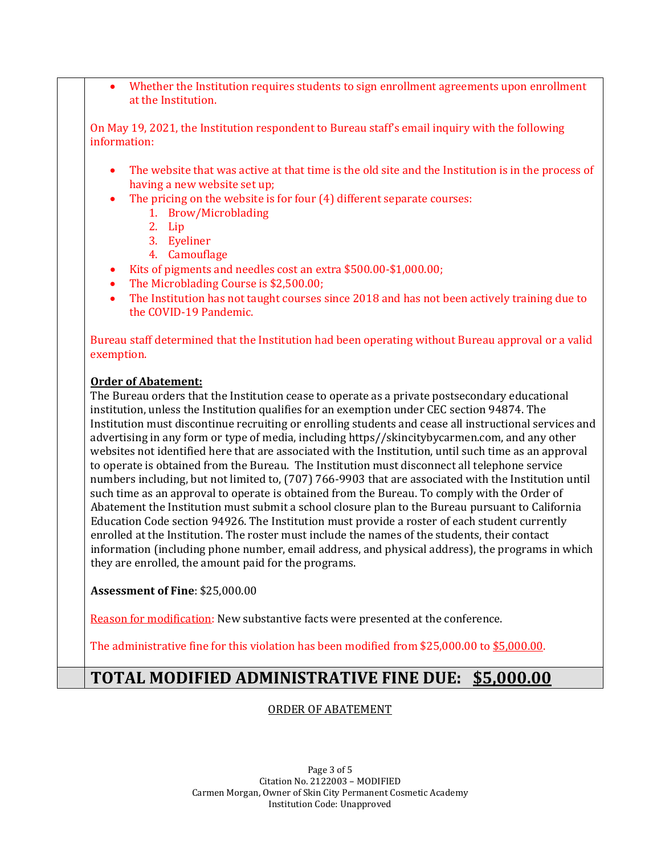• Whether the Institution requires students to sign enrollment agreements upon enrollment at the Institution.

 On May 19, 2021, the Institution respondent to Bureau staff's email inquiry with the following information:

- • The website that was active at that time is the old site and the Institution is in the process of having a new website set up;
- • The pricing on the website is for four (4) different separate courses:
	- 1. Brow/Microblading
	- 2. Lip
	- 3. Eyeliner
	- 4. Camouflage
- Kits of pigments and needles cost an extra \$500.00-\$1,000.00;
- The Microblading Course is \$2,500.00;
- • The Institution has not taught courses since 2018 and has not been actively training due to the COVID-19 Pandemic.

 Bureau staff determined that the Institution had been operating without Bureau approval or a valid exemption.

#### **Order of Abatement:**

 The Bureau orders that the Institution cease to operate as a private postsecondary educational institution, unless the Institution qualifies for an exemption under CEC section 94874. The Institution must discontinue recruiting or enrolling students and cease all instructional services and advertising in any form or type of media, including https//skincitybycarmen.com, and any other websites not identified here that are associated with the Institution, until such time as an approval to operate is obtained from the Bureau. The Institution must disconnect all telephone service numbers including, but not limited to, (707) 766-9903 that are associated with the Institution until such time as an approval to operate is obtained from the Bureau. To comply with the Order of Abatement the Institution must submit a school closure plan to the Bureau pursuant to California Education Code section 94926. The Institution must provide a roster of each student currently enrolled at the Institution. The roster must include the names of the students, their contact information (including phone number, email address, and physical address), the programs in which they are enrolled, the amount paid for the programs.

**Assessment of Fine**: \$25,000.00

<u>Reason for modification</u>: New substantive facts were presented at the conference.

The administrative fine for this violation has been modified from \$25,000.00 to <u>\$5,000.00</u>.

# **TOTAL MODIFIED ADMINISTRATIVE FINE DUE: \$5,000.00**

## ORDER OF ABATEMENT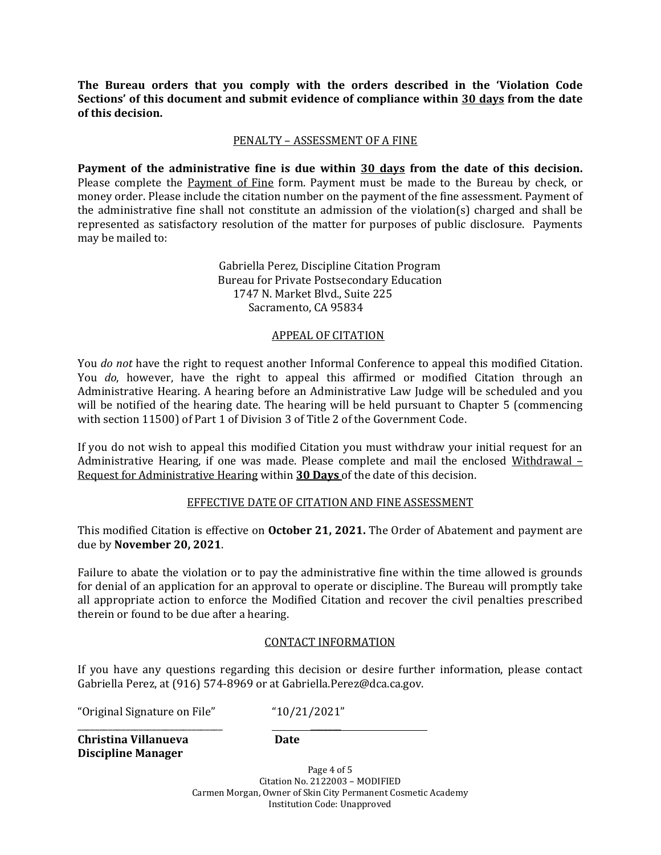**of this decision. The Bureau orders that you comply with the orders described in the 'Violation Code Sections' of this document and submit evidence of compliance within 30 days from the date** 

# PENALTY – ASSESSMENT OF A FINE

Please complete the <u>Payment of Fine</u> form. Payment must be made to the Bureau by check, or money order. Please include the citation number on the payment of the fine assessment. Payment of the administrative fine shall not constitute an admission of the violation(s) charged and shall be may be mailed to: **Payment of the administrative fine is due within 30 days from the date of this decision.**  represented as satisfactory resolution of the matter for purposes of public disclosure. Payments

> Gabriella Perez, Discipline Citation Program Bureau for Private Postsecondary Education 1747 N. Market Blvd., Suite 225 Sacramento, CA 95834

# APPEAL OF CITATION

 will be notified of the hearing date. The hearing will be held pursuant to Chapter 5 (commencing with section 11500) of Part 1 of Division 3 of Title 2 of the Government Code. You *do not* have the right to request another Informal Conference to appeal this modified Citation. You *do*, however, have the right to appeal this affirmed or modified Citation through an Administrative Hearing. A hearing before an Administrative Law Judge will be scheduled and you

 If you do not wish to appeal this modified Citation you must withdraw your initial request for an Request for Administrative Hearing within **30 Days** of the date of this decision. Administrative Hearing, if one was made. Please complete and mail the enclosed Withdrawal –

# EFFECTIVE DATE OF CITATION AND FINE ASSESSMENT

 This modified Citation is effective on **October 21, 2021.** The Order of Abatement and payment are due by **November 20, 2021**.

 Failure to abate the violation or to pay the administrative fine within the time allowed is grounds all appropriate action to enforce the Modified Citation and recover the civil penalties prescribed therein or found to be due after a hearing. for denial of an application for an approval to operate or discipline. The Bureau will promptly take

#### CONTACT INFORMATION

 Gabriella Perez, at (916) 574-8969 or at [Gabriella.Perez@dca.ca.gov](mailto:Gabriella.Perez@dca.ca.gov). If you have any questions regarding this decision or desire further information, please contact

\_\_\_\_\_\_\_

"Original Signature on File" "10/21/2021"

l,

**Christina Villanueva** \_\_\_\_\_\_\_\_\_\_\_\_\_\_\_\_\_\_\_\_\_\_\_\_\_\_\_\_\_\_\_\_\_ **Christina Villanueva Discipline Manager** 

**Date** 

 Page 4 of 5 Citation No. 2122003 – MODIFIED Carmen Morgan, Owner of Skin City Permanent Cosmetic Academy Institution Code: Unapproved